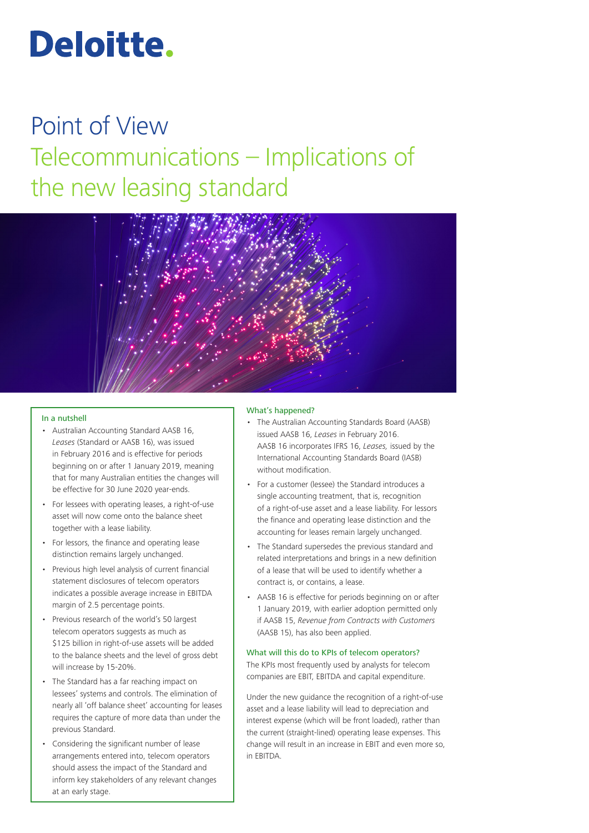# Deloitte.

# Point of View Telecommunications – Implications of the new leasing standard



#### In a nutshell

- Australian Accounting Standard AASB 16, *Leases* (Standard or AASB 16), was issued in February 2016 and is effective for periods beginning on or after 1 January 2019, meaning that for many Australian entities the changes will be effective for 30 June 2020 year-ends.
- For lessees with operating leases, a right-of-use asset will now come onto the balance sheet together with a lease liability.
- For lessors, the finance and operating lease distinction remains largely unchanged.
- Previous high level analysis of current financial statement disclosures of telecom operators indicates a possible average increase in EBITDA margin of 2.5 percentage points.
- Previous research of the world's 50 largest telecom operators suggests as much as \$125 billion in right-of-use assets will be added to the balance sheets and the level of gross debt will increase by 15-20%.
- The Standard has a far reaching impact on lessees' systems and controls. The elimination of nearly all 'off balance sheet' accounting for leases requires the capture of more data than under the previous Standard.
- Considering the significant number of lease arrangements entered into, telecom operators should assess the impact of the Standard and inform key stakeholders of any relevant changes at an early stage.

#### What's happened?

- The Australian Accounting Standards Board (AASB) issued AASB 16, *Leases* in February 2016. AASB 16 incorporates IFRS 16, *Leases,* issued by the International Accounting Standards Board (IASB) without modification.
- For a customer (lessee) the Standard introduces a single accounting treatment, that is, recognition of a right-of-use asset and a lease liability. For lessors the finance and operating lease distinction and the accounting for leases remain largely unchanged.
- The Standard supersedes the previous standard and related interpretations and brings in a new definition of a lease that will be used to identify whether a contract is, or contains, a lease.
- AASB 16 is effective for periods beginning on or after 1 January 2019, with earlier adoption permitted only if AASB 15, *Revenue from Contracts with Customers*  (AASB 15), has also been applied.

#### What will this do to KPIs of telecom operators?

The KPIs most frequently used by analysts for telecom companies are EBIT, EBITDA and capital expenditure.

Under the new guidance the recognition of a right-of-use asset and a lease liability will lead to depreciation and interest expense (which will be front loaded), rather than the current (straight-lined) operating lease expenses. This change will result in an increase in EBIT and even more so, in EBITDA.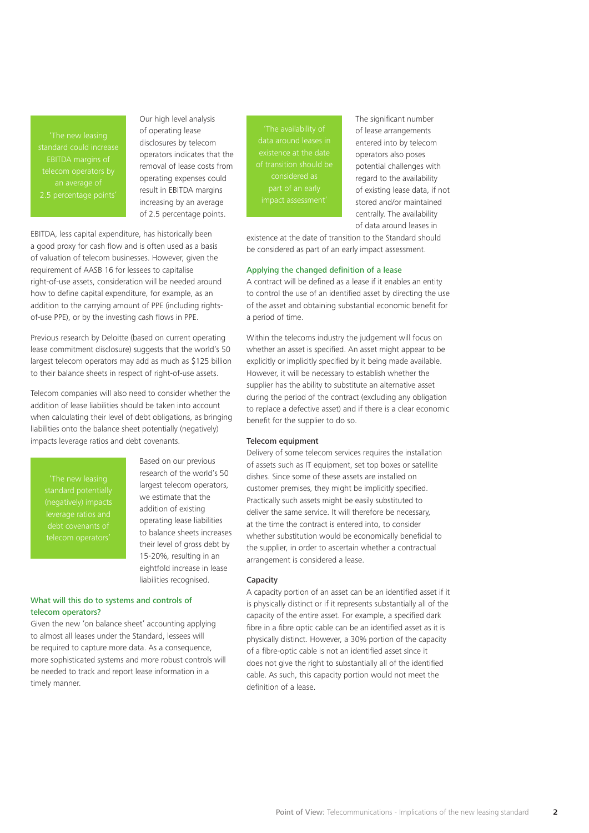EBITDA margins of

Our high level analysis of operating lease disclosures by telecom operators indicates that the removal of lease costs from operating expenses could result in EBITDA margins increasing by an average of 2.5 percentage points.

EBITDA, less capital expenditure, has historically been a good proxy for cash flow and is often used as a basis of valuation of telecom businesses. However, given the requirement of AASB 16 for lessees to capitalise right-of-use assets, consideration will be needed around how to define capital expenditure, for example, as an addition to the carrying amount of PPE (including rightsof-use PPE), or by the investing cash flows in PPE.

Previous research by Deloitte (based on current operating lease commitment disclosure) suggests that the world's 50 largest telecom operators may add as much as \$125 billion to their balance sheets in respect of right-of-use assets.

Telecom companies will also need to consider whether the addition of lease liabilities should be taken into account when calculating their level of debt obligations, as bringing liabilities onto the balance sheet potentially (negatively) impacts leverage ratios and debt covenants.

Based on our previous research of the world's 50 largest telecom operators, we estimate that the addition of existing operating lease liabilities to balance sheets increases their level of gross debt by 15-20%, resulting in an eightfold increase in lease liabilities recognised.

## What will this do to systems and controls of telecom operators?

Given the new 'on balance sheet' accounting applying to almost all leases under the Standard, lessees will be required to capture more data. As a consequence, more sophisticated systems and more robust controls will be needed to track and report lease information in a timely manner.

data around leases in of transition should be considered as

The significant number of lease arrangements entered into by telecom operators also poses potential challenges with regard to the availability of existing lease data, if not stored and/or maintained centrally. The availability of data around leases in

existence at the date of transition to the Standard should be considered as part of an early impact assessment.

#### Applying the changed definition of a lease

A contract will be defined as a lease if it enables an entity to control the use of an identified asset by directing the use of the asset and obtaining substantial economic benefit for a period of time.

Within the telecoms industry the judgement will focus on whether an asset is specified. An asset might appear to be explicitly or implicitly specified by it being made available. However, it will be necessary to establish whether the supplier has the ability to substitute an alternative asset during the period of the contract (excluding any obligation to replace a defective asset) and if there is a clear economic benefit for the supplier to do so.

#### Telecom equipment

Delivery of some telecom services requires the installation of assets such as IT equipment, set top boxes or satellite dishes. Since some of these assets are installed on customer premises, they might be implicitly specified. Practically such assets might be easily substituted to deliver the same service. It will therefore be necessary, at the time the contract is entered into, to consider whether substitution would be economically beneficial to the supplier, in order to ascertain whether a contractual arrangement is considered a lease.

#### Capacity

A capacity portion of an asset can be an identified asset if it is physically distinct or if it represents substantially all of the capacity of the entire asset. For example, a specified dark fibre in a fibre optic cable can be an identified asset as it is physically distinct. However, a 30% portion of the capacity of a fibre-optic cable is not an identified asset since it does not give the right to substantially all of the identified cable. As such, this capacity portion would not meet the definition of a lease.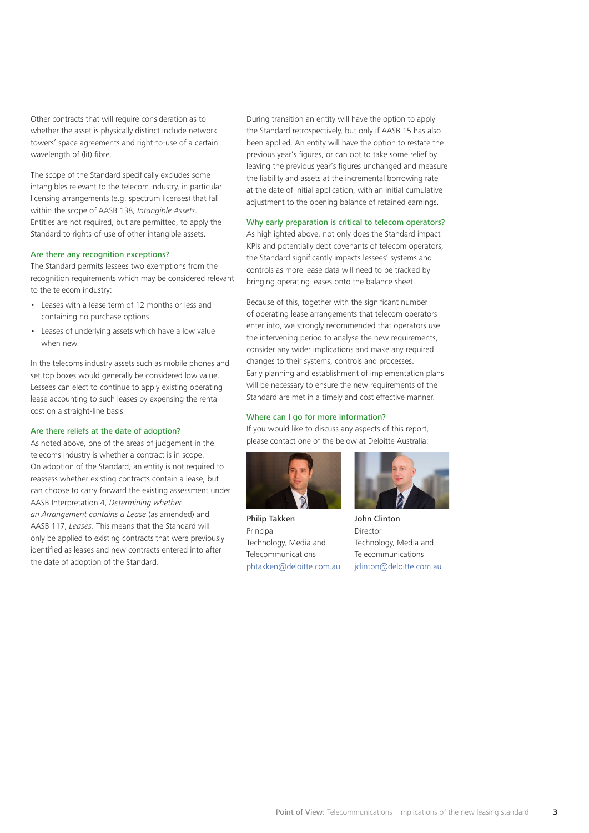Other contracts that will require consideration as to whether the asset is physically distinct include network towers' space agreements and right-to-use of a certain wavelength of (lit) fibre.

The scope of the Standard specifically excludes some intangibles relevant to the telecom industry, in particular licensing arrangements (e.g. spectrum licenses) that fall within the scope of AASB 138, *Intangible Assets*. Entities are not required, but are permitted, to apply the Standard to rights-of-use of other intangible assets.

#### Are there any recognition exceptions?

The Standard permits lessees two exemptions from the recognition requirements which may be considered relevant to the telecom industry:

- Leases with a lease term of 12 months or less and containing no purchase options
- Leases of underlying assets which have a low value when new.

In the telecoms industry assets such as mobile phones and set top boxes would generally be considered low value. Lessees can elect to continue to apply existing operating lease accounting to such leases by expensing the rental cost on a straight-line basis.

#### Are there reliefs at the date of adoption?

As noted above, one of the areas of judgement in the telecoms industry is whether a contract is in scope. On adoption of the Standard, an entity is not required to reassess whether existing contracts contain a lease, but can choose to carry forward the existing assessment under AASB Interpretation 4, *Determining whether an Arrangement contains a Lease* (as amended) and AASB 117, *Leases*. This means that the Standard will only be applied to existing contracts that were previously identified as leases and new contracts entered into after the date of adoption of the Standard.

During transition an entity will have the option to apply the Standard retrospectively, but only if AASB 15 has also been applied. An entity will have the option to restate the previous year's figures, or can opt to take some relief by leaving the previous year's figures unchanged and measure the liability and assets at the incremental borrowing rate at the date of initial application, with an initial cumulative adjustment to the opening balance of retained earnings.

### Why early preparation is critical to telecom operators?

As highlighted above, not only does the Standard impact KPIs and potentially debt covenants of telecom operators, the Standard significantly impacts lessees' systems and controls as more lease data will need to be tracked by bringing operating leases onto the balance sheet.

Because of this, together with the significant number of operating lease arrangements that telecom operators enter into, we strongly recommended that operators use the intervening period to analyse the new requirements, consider any wider implications and make any required changes to their systems, controls and processes. Early planning and establishment of implementation plans will be necessary to ensure the new requirements of the Standard are met in a timely and cost effective manner.

#### Where can I go for more information?

If you would like to discuss any aspects of this report, please contact one of the below at Deloitte Australia:



Philip Takken Principal Technology, Media and Telecommunications [phtakken@deloitte.com.au](mailto:phtakken%40deloitte.com.au?subject=)



John Clinton Director Technology, Media and Telecommunications jclinton@deloitte.com.au